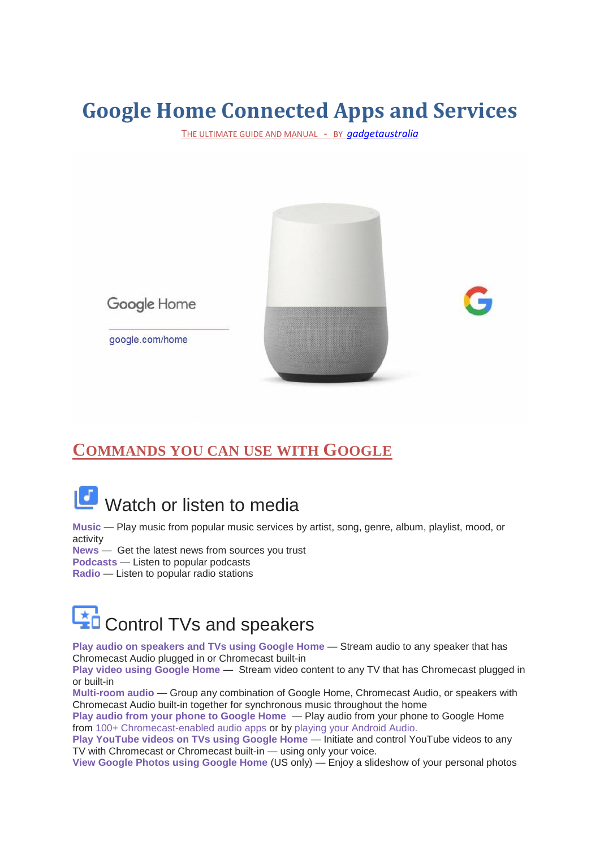# **Google Home Connected Apps and Services**

THE ULTIMATE GUIDE AND MANUAL - BY *[gadgetaustralia](http://www.gadgetaustralia.com/)*



### **COMMANDS YOU CAN USE WITH GOOGLE**

# Watch or listen to media

**Music** — Play music from popular music services by artist, song, genre, album, playlist, mood, or activity

**News** — Get the latest news from sources you trust

**Podcasts** — Listen to popular podcasts

**Radio** — Listen to popular radio stations



**Play audio on speakers and TVs using Google Home** — Stream audio to any speaker that has Chromecast Audio plugged in or Chromecast built-in

**Play video using Google Home - Stream video content to any TV that has Chromecast plugged in** or built-in

**Multi-room audio** — Group any combination of Google Home, Chromecast Audio, or speakers with Chromecast Audio built-in together for synchronous music throughout the home

**Play audio from your phone to Google Home** — Play audio from your phone to Google Home from [100+ Chromecast-enabled audio apps](https://support.google.com/googlehome/answer/7181830) or by [playing your Android Audio.](https://support.google.com/googlehome/answer/7169790)

**Play YouTube videos on TVs using Google Home** — Initiate and control YouTube videos to any TV with Chromecast or Chromecast built-in — using only your voice.

**View Google Photos using Google Home** (US only) — Enjoy a slideshow of your personal photos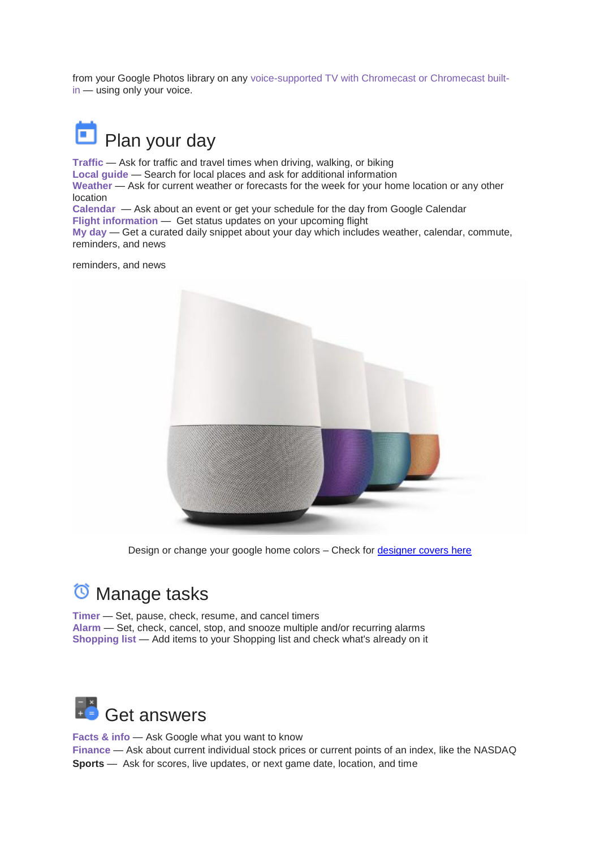from your Google Photos library on any [voice-supported TV with Chromecast or Chromecast built](https://support-content-draft.corp.google.com/googlehome/answer/7029380#TVsupporteddevices)[in](https://support-content-draft.corp.google.com/googlehome/answer/7029380#TVsupporteddevices) — using only your voice.



**Traffic** — Ask for traffic and travel times when driving, walking, or biking **Local guide** — Search for local places and ask for additional information **Weather** — Ask for current weather or forecasts for the week for your home location or any other location **Calendar** — Ask about an event or get your schedule for the day from Google Calendar

**Flight information** — Get status updates on your upcoming flight

**My day** — Get a curated daily snippet about your day which includes weather, calendar, commute, reminders, and news

reminders, and news



Design or change your google home colors – Check for [designer](http://amzn.to/2uhFqTj) covers here

## <sup>t</sup> Manage tasks

**Timer** — Set, pause, check, resume, and cancel timers **Alarm** — Set, check, cancel, stop, and snooze multiple and/or recurring alarms **Shopping list** — Add items to your Shopping list and check what's already on it



**Facts & info** — Ask Google what you want to know **Finance** — Ask about current individual stock prices or current points of an index, like the NASDAQ **Sports** — Ask for scores, live updates, or next game date, location, and time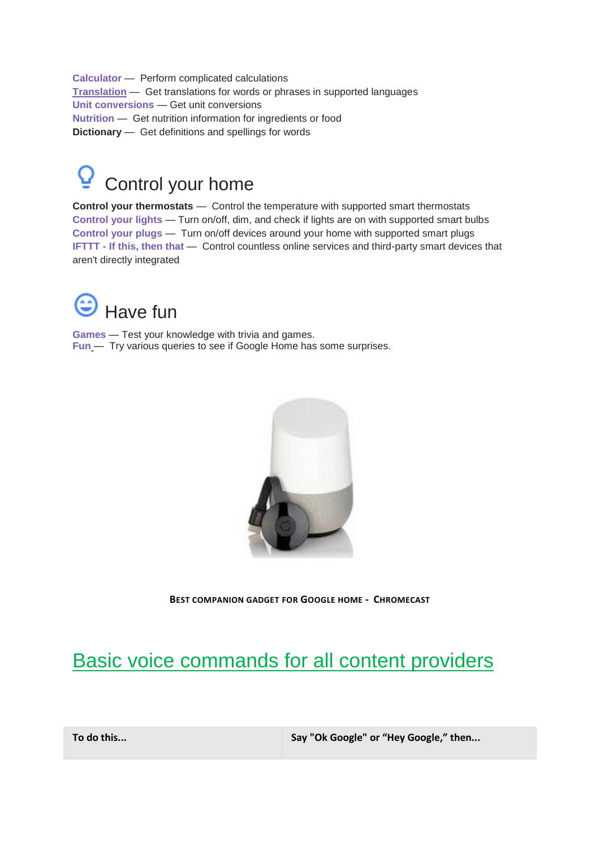**Calculator** — Perform complicated calculations **[Translation](https://support.google.com/googlehome/answer/7029487)** — Get translations for words or phrases in supported languages **Unit conversions** — Get unit conversions **[Nutrition](https://support.google.com/googlehome/answer/7029487)** — Get nutrition information for ingredients or food **Dictionary** — Get definitions and spellings for words



**Control your thermostats** — Control the temperature with supported smart thermostats **Control your lights** — Turn on/off, dim, and check if lights are on with supported smart bulbs **Control your plugs** — Turn on/off devices around your home with supported smart plugs **IFTTT - If this, then that** — Control countless online services and third-party smart devices that aren't directly integrated



**[Games](https://support.google.com/googlehome/answer/7029814)** — Test your knowledge with trivia and games. **[Fun](https://support.google.com/googlehome/answer/7029814)** — Try various queries to see if Google Home has some surprises.



**BEST COMPANION GADGET FOR GOOGLE HOME - CHROMECAST**

## Basic voice commands for all content providers

**To do this... Say "Ok Google" or "Hey Google," then...**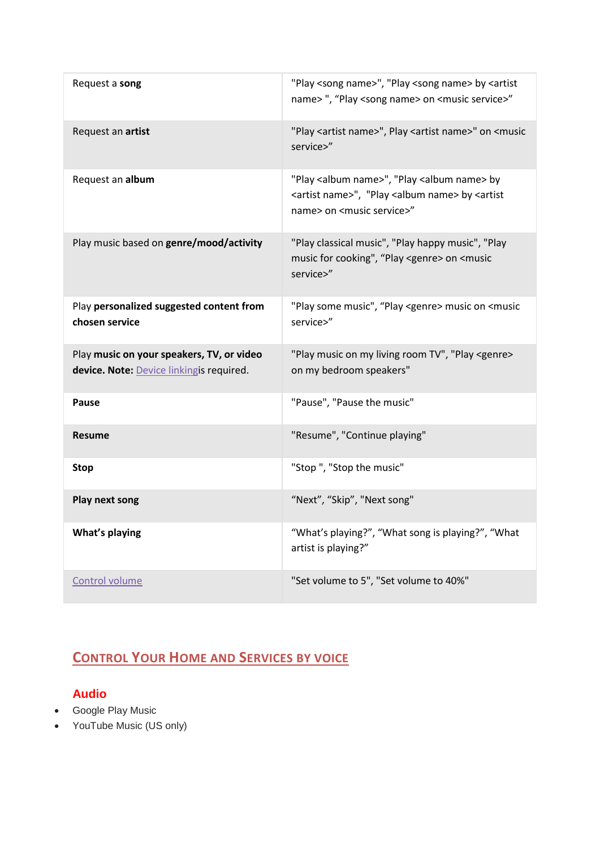| Request a song                                                                        | "Play <song name="">", "Play <song name=""> by <artist<br>name&gt;", "Play <song name=""> on <music service="">"</music></song></artist<br></song></song>                                        |
|---------------------------------------------------------------------------------------|--------------------------------------------------------------------------------------------------------------------------------------------------------------------------------------------------|
| Request an artist                                                                     | "Play <artist name="">", Play <artist name="">" on <music<br>service&gt;"</music<br></artist></artist>                                                                                           |
| Request an album                                                                      | "Play <album name="">", "Play <album name=""> by<br/><artist name="">", "Play <album name=""> by <artist<br>name&gt; on <music service="">"</music></artist<br></album></artist></album></album> |
| Play music based on genre/mood/activity                                               | "Play classical music", "Play happy music", "Play<br>music for cooking", "Play <genre> on <music<br>service&gt;"</music<br></genre>                                                              |
| Play personalized suggested content from<br>chosen service                            | "Play some music", "Play <genre> music on <music<br>service&gt;"</music<br></genre>                                                                                                              |
| Play music on your speakers, TV, or video<br>device. Note: Device linkingis required. | "Play music on my living room TV", "Play <genre><br/>on my bedroom speakers"</genre>                                                                                                             |
| Pause                                                                                 | "Pause", "Pause the music"                                                                                                                                                                       |
| <b>Resume</b>                                                                         | "Resume", "Continue playing"                                                                                                                                                                     |
| <b>Stop</b>                                                                           | "Stop", "Stop the music"                                                                                                                                                                         |
| Play next song                                                                        | "Next", "Skip", "Next song"                                                                                                                                                                      |
| What's playing                                                                        | "What's playing?", "What song is playing?", "What<br>artist is playing?"                                                                                                                         |
| Control volume                                                                        | "Set volume to 5", "Set volume to 40%"                                                                                                                                                           |

### **CONTROL YOUR HOME AND SERVICES BY VOICE**

#### **Audio**

- Google Play Music
- YouTube Music (US only)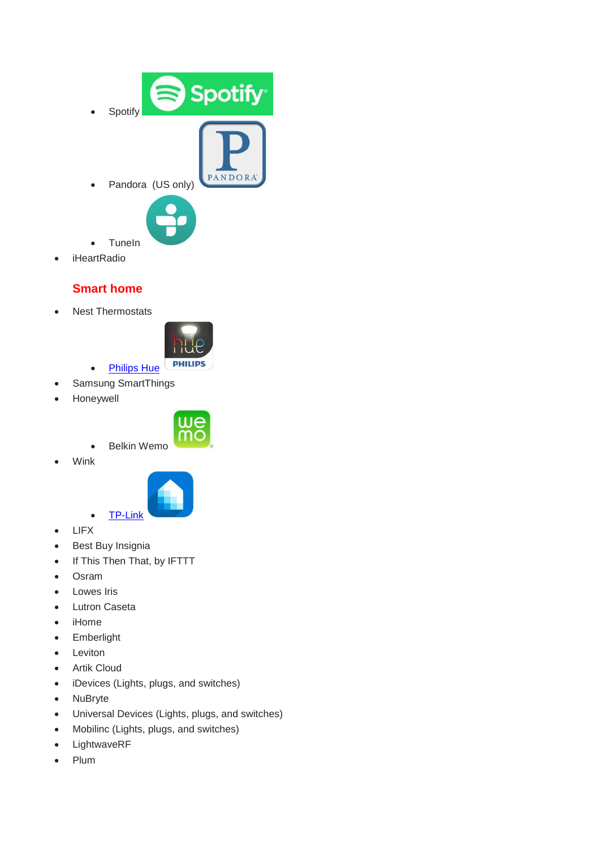

• iHeartRadio

#### **Smart home**

• Nest Thermostats



- [Philips Hue](http://amzn.to/2t3Ddqf) Samsung SmartThings
- Honeywell



- Belkin Wemo
- Wink



- LIFX
- Best Buy Insignia
- If This Then That, by IFTTT
- Osram
- Lowes Iris
- Lutron Caseta
- iHome
- **•** Emberlight
- Leviton
- Artik Cloud
- iDevices (Lights, plugs, and switches)
- NuBryte
- Universal Devices (Lights, plugs, and switches)
- Mobilinc (Lights, plugs, and switches)
- LightwaveRF
- Plum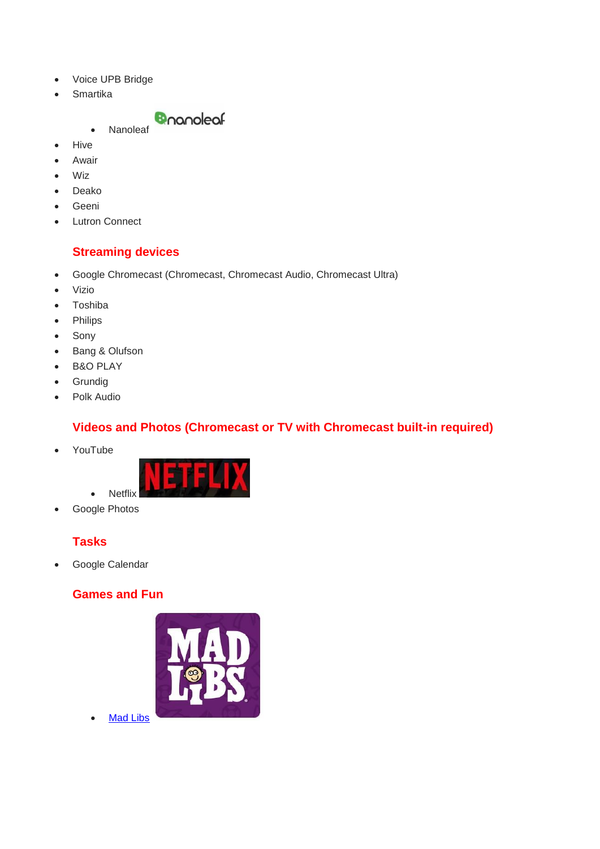- Voice UPB Bridge
- Smartika



- Hive
- Awair
- Wiz
- Deako
- Geeni
- Lutron Connect

#### **Streaming devices**

- Google Chromecast (Chromecast, Chromecast Audio, Chromecast Ultra)
- Vizio
- Toshiba
- Philips
- Sony
- Bang & Olufson
- B&O PLAY
- **•** Grundig
- Polk Audio

#### **Videos and Photos (Chromecast or TV with Chromecast built-in required)**

YouTube



Google Photos

#### **Tasks**

Google Calendar

#### **Games and Fun**



• [Mad Libs](https://play.google.com/store/apps/details?id=com.prh.madlibs_&hl=en)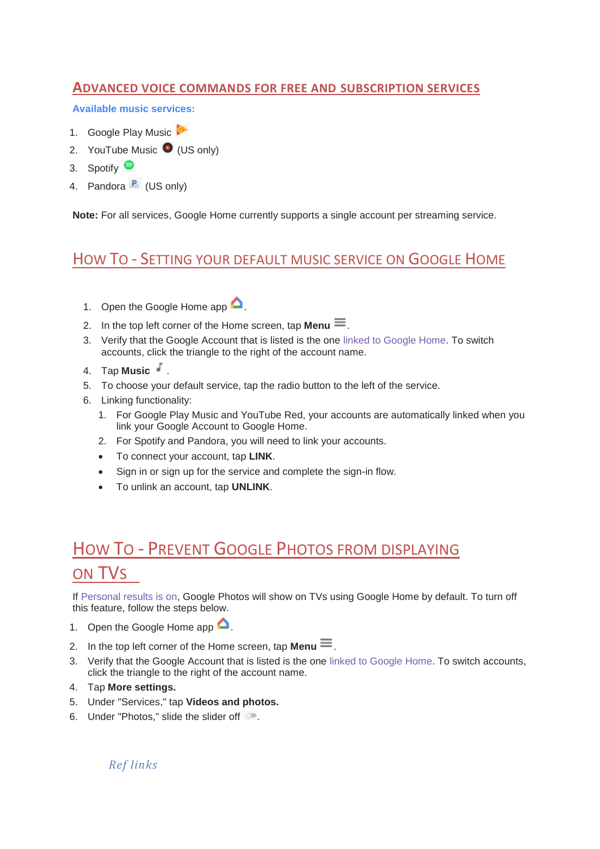#### **ADVANCED VOICE COMMANDS FOR FREE AND SUBSCRIPTION SERVICES**

**Available music services:**

- 1. Google Play Music
- 2. YouTube Music  $\bullet$  (US only)
- 3. Spotify ●
- 4. Pandora  $P$  (US only)

**Note:** For all services, Google Home currently supports a single account per streaming service.

### HOW TO - SETTING YOUR DEFAULT MUSIC SERVICE ON GOOGLE HOME

- 1. Open the Google Home app  $\bigcirc$
- 2. In the top left corner of the Home screen, tap **Menu**  $\equiv$ .
- 3. Verify that the Google Account that is listed is the one linked to [Google Home.](https://support.google.com/googlehome/answer/7124017?#checklinkedaccount) To switch accounts, click the triangle to the right of the account name.
- 4. Tap **Music** .
- 5. To choose your default service, tap the radio button to the left of the service.
- 6. Linking functionality:
	- 1. For Google Play Music and YouTube Red, your accounts are automatically linked when you link your Google Account to Google Home.
	- 2. For Spotify and Pandora, you will need to link your accounts.
	- To connect your account, tap **LINK**.
	- Sign in or sign up for the service and complete the sign-in flow.
	- To unlink an account, tap **UNLINK**.

# HOW TO - PREVENT GOOGLE PHOTOS FROM DISPLAYING ON TVS

If [Personal results is on,](https://support.google.com/googlehome/answer/7245296?hl=en&ref_topic=7029584#personalresultsphoto) Google Photos will show on TVs using Google Home by default. To turn off this feature, follow the steps below.

- 1. Open the Google Home app  $\bullet$
- 2. In the top left corner of the Home screen, tap **Menu**  $\equiv$ .
- 3. Verify that the Google Account that is listed is the one linked to [Google Home.](https://support.google.com/googlehome/answer/7124017?#checklinkedaccount) To switch accounts, click the triangle to the right of the account name.
- 4. Tap **More settings.**
- 5. Under "Services," tap **Videos and photos.**
- 6. Under "Photos," slide the slider off  $\blacksquare$ .

*Ref links*